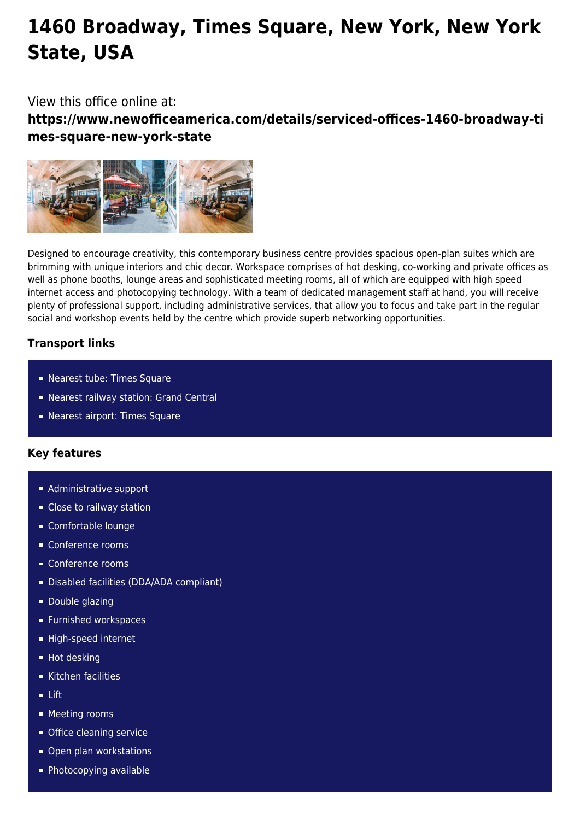# **1460 Broadway, Times Square, New York, New York State, USA**

## View this office online at:

**https://www.newofficeamerica.com/details/serviced-offices-1460-broadway-ti mes-square-new-york-state**



Designed to encourage creativity, this contemporary business centre provides spacious open-plan suites which are brimming with unique interiors and chic decor. Workspace comprises of hot desking, co-working and private offices as well as phone booths, lounge areas and sophisticated meeting rooms, all of which are equipped with high speed internet access and photocopying technology. With a team of dedicated management staff at hand, you will receive plenty of professional support, including administrative services, that allow you to focus and take part in the regular social and workshop events held by the centre which provide superb networking opportunities.

## **Transport links**

- Nearest tube: Times Square
- Nearest railway station: Grand Central
- Nearest airport: Times Square

## **Key features**

- **Administrative support**
- **Close to railway station**
- Comfortable lounge
- Conference rooms
- Conference rooms
- Disabled facilities (DDA/ADA compliant)
- **Double glazing**
- **Furnished workspaces**
- High-speed internet
- **Hot desking**
- Kitchen facilities
- Lift
- **Meeting rooms**
- **Office cleaning service**
- Open plan workstations
- Photocopying available